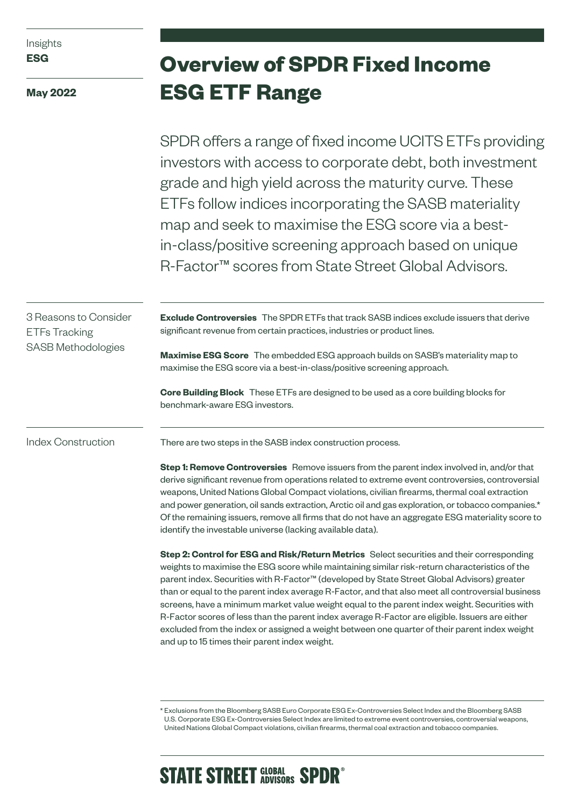Insights **ESG**

**May 2022**

# **Overview of SPDR Fixed Income ESG ETF Range**

SPDR offers a range of fixed income UCITS ETFs providing investors with access to corporate debt, both investment grade and high yield across the maturity curve. These ETFs follow indices incorporating the SASB materiality map and seek to maximise the ESG score via a bestin-class/positive screening approach based on unique R-Factor™ scores from State Street Global Advisors.

3 Reasons to Consider ETFs Tracking SASB Methodologies

**Exclude Controversies** The SPDR ETFs that track SASB indices exclude issuers that derive significant revenue from certain practices, industries or product lines.

**Maximise ESG Score** The embedded ESG approach builds on SASB's materiality map to maximise the ESG score via a best-in-class/positive screening approach.

**Core Building Block** These ETFs are designed to be used as a core building blocks for benchmark-aware ESG investors.

Index Construction

There are two steps in the SASB index construction process.

**Step 1: Remove Controversies** Remove issuers from the parent index involved in, and/or that derive significant revenue from operations related to extreme event controversies, controversial weapons, United Nations Global Compact violations, civilian firearms, thermal coal extraction and power generation, oil sands extraction, Arctic oil and gas exploration, or tobacco companies.\* Of the remaining issuers, remove all firms that do not have an aggregate ESG materiality score to identify the investable universe (lacking available data).

**Step 2: Control for ESG and Risk/Return Metrics** Select securities and their corresponding weights to maximise the ESG score while maintaining similar risk-return characteristics of the parent index. Securities with R-Factor™ (developed by State Street Global Advisors) greater than or equal to the parent index average R-Factor, and that also meet all controversial business screens, have a minimum market value weight equal to the parent index weight. Securities with R-Factor scores of less than the parent index average R-Factor are eligible. Issuers are either excluded from the index or assigned a weight between one quarter of their parent index weight and up to 15 times their parent index weight.

# **STATE STREET SLOBAL SPDR**<sup>®</sup>

<sup>\*</sup> Exclusions from the Bloomberg SASB Euro Corporate ESG Ex-Controversies Select Index and the Bloomberg SASB U.S. Corporate ESG Ex-Controversies Select Index are limited to extreme event controversies, controversial weapons, United Nations Global Compact violations, civilian firearms, thermal coal extraction and tobacco companies.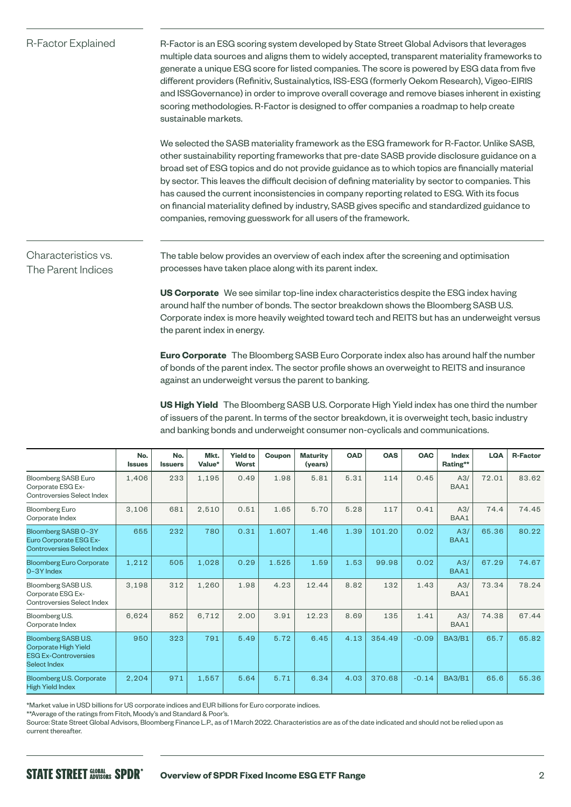| R-Factor Explained                        | R-Factor is an ESG scoring system developed by State Street Global Advisors that leverages<br>multiple data sources and aligns them to widely accepted, transparent materiality frameworks to<br>generate a unique ESG score for listed companies. The score is powered by ESG data from five<br>different providers (Refinitiv, Sustainalytics, ISS-ESG (formerly Oekom Research), Vigeo-EIRIS<br>and ISSGovernance) in order to improve overall coverage and remove biases inherent in existing<br>scoring methodologies. R-Factor is designed to offer companies a roadmap to help create<br>sustainable markets.                                                  |  |  |  |  |  |  |  |
|-------------------------------------------|-----------------------------------------------------------------------------------------------------------------------------------------------------------------------------------------------------------------------------------------------------------------------------------------------------------------------------------------------------------------------------------------------------------------------------------------------------------------------------------------------------------------------------------------------------------------------------------------------------------------------------------------------------------------------|--|--|--|--|--|--|--|
|                                           | We selected the SASB materiality framework as the ESG framework for R-Factor. Unlike SASB,<br>other sustainability reporting frameworks that pre-date SASB provide disclosure guidance on a<br>broad set of ESG topics and do not provide guidance as to which topics are financially material<br>by sector. This leaves the difficult decision of defining materiality by sector to companies. This<br>has caused the current inconsistencies in company reporting related to ESG. With its focus<br>on financial materiality defined by industry, SASB gives specific and standardized guidance to<br>companies, removing guesswork for all users of the framework. |  |  |  |  |  |  |  |
| Characteristics vs.<br>The Parent Indices | The table below provides an overview of each index after the screening and optimisation<br>processes have taken place along with its parent index.                                                                                                                                                                                                                                                                                                                                                                                                                                                                                                                    |  |  |  |  |  |  |  |
|                                           | US Corporate We see similar top-line index characteristics despite the ESG index having<br>around half the number of bonds. The sector breakdown shows the Bloomberg SASB U.S.<br>Corporate index is more heavily weighted toward tech and REITS but has an underweight versus<br>the parent index in energy.                                                                                                                                                                                                                                                                                                                                                         |  |  |  |  |  |  |  |
|                                           | Euro Corporate The Bloomberg SASB Euro Corporate index also has around half the number<br>of bonds of the parent index. The sector profile shows an overweight to REITS and insurance<br>against an underweight versus the parent to banking.                                                                                                                                                                                                                                                                                                                                                                                                                         |  |  |  |  |  |  |  |
|                                           | US High Yield The Bloomberg SASB U.S. Corporate High Yield index has one third the number<br>of issuers of the parent. In terms of the sector breakdown, it is overweight tech, basic industry<br>and banking bonds and underweight consumer non-cyclicals and communications.                                                                                                                                                                                                                                                                                                                                                                                        |  |  |  |  |  |  |  |

|                                                                                                   | No.<br><b>Issues</b> | No.<br><b>Issuers</b> | Mkt.<br>Value* | <b>Yield to</b><br><b>Worst</b> | Coupon | <b>Maturity</b><br>(years) | <b>OAD</b> | <b>OAS</b> | <b>OAC</b> | Index<br>Rating** | <b>LQA</b> | <b>R-Factor</b> |
|---------------------------------------------------------------------------------------------------|----------------------|-----------------------|----------------|---------------------------------|--------|----------------------------|------------|------------|------------|-------------------|------------|-----------------|
| Bloomberg SASB Euro<br>Corporate ESG Ex-<br>Controversies Select Index                            | 1.406                | 233                   | 1,195          | 0.49                            | 1.98   | 5.81                       | 5.31       | 114        | 0.45       | A3/<br>BAA1       | 72.01      | 83.62           |
| <b>Bloomberg Euro</b><br>Corporate Index                                                          | 3,106                | 681                   | 2,510          | 0.51                            | 1.65   | 5.70                       | 5.28       | 117        | 0.41       | A3/<br>BAA1       | 74.4       | 74.45           |
| Bloomberg SASB 0-3Y<br>Euro Corporate ESG Ex-<br><b>Controversies Select Index</b>                | 655                  | 232                   | 780            | 0.31                            | 1.607  | 1.46                       | 1.39       | 101.20     | 0.02       | A3/<br>BAA1       | 65.36      | 80.22           |
| <b>Bloomberg Euro Corporate</b><br>0-3Y Index                                                     | 1,212                | 505                   | 1,028          | 0.29                            | 1.525  | 1.59                       | 1.53       | 99.98      | 0.02       | A3/<br>BAA1       | 67.29      | 74.67           |
| Bloomberg SASB U.S.<br>Corporate ESG Ex-<br>Controversies Select Index                            | 3,198                | 312                   | 1,260          | 1.98                            | 4.23   | 12.44                      | 8.82       | 132        | 1.43       | A3/<br>BAA1       | 73.34      | 78.24           |
| Bloomberg U.S.<br>Corporate Index                                                                 | 6,624                | 852                   | 6,712          | 2.00                            | 3.91   | 12.23                      | 8.69       | 135        | 1.41       | A3/<br>BAA1       | 74.38      | 67.44           |
| Bloomberg SASB U.S.<br><b>Corporate High Yield</b><br><b>ESG Ex-Controversies</b><br>Select Index | 950                  | 323                   | 791            | 5.49                            | 5.72   | 6.45                       | 4.13       | 354.49     | $-0.09$    | <b>BA3/B1</b>     | 65.7       | 65.82           |
| Bloomberg U.S. Corporate<br><b>High Yield Index</b>                                               | 2,204                | 971                   | 1.557          | 5.64                            | 5.71   | 6.34                       | 4.03       | 370.68     | $-0.14$    | <b>BA3/B1</b>     | 65.6       | 55.36           |

\*Market value in USD billions for US corporate indices and EUR billions for Euro corporate indices.

\*\*Average of the ratings from Fitch, Moody's and Standard & Poor's.

Source: State Street Global Advisors, Bloomberg Finance L.P., as of 1 March 2022. Characteristics are as of the date indicated and should not be relied upon as current thereafter.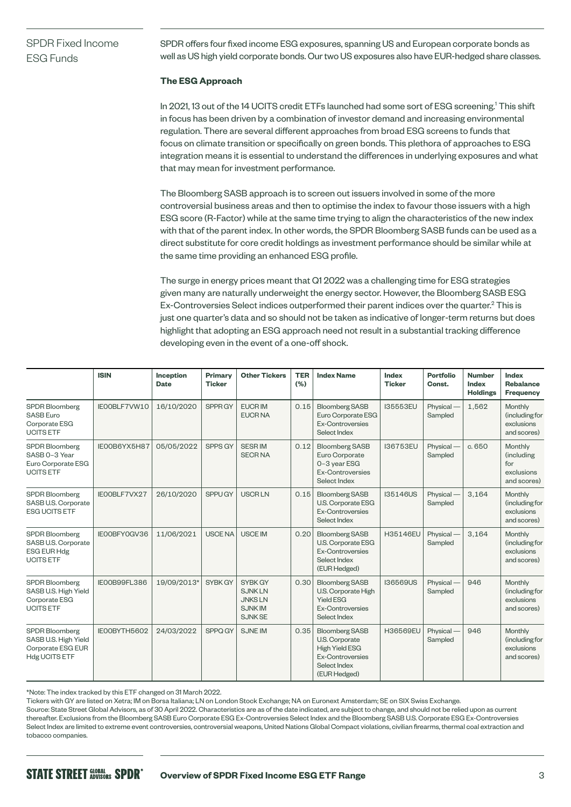# SPDR Fixed Income ESG Funds

SPDR offers four fixed income ESG exposures, spanning US and European corporate bonds as well as US high yield corporate bonds. Our two US exposures also have EUR-hedged share classes.

## **The ESG Approach**

In 2021, 13 out of the 14 UCITS credit ETFs launched had some sort of ESG screening.1 This shift in focus has been driven by a combination of investor demand and increasing environmental regulation. There are several different approaches from broad ESG screens to funds that focus on climate transition or specifically on green bonds. This plethora of approaches to ESG integration means it is essential to understand the differences in underlying exposures and what that may mean for investment performance.

The Bloomberg SASB approach is to screen out issuers involved in some of the more controversial business areas and then to optimise the index to favour those issuers with a high ESG score (R-Factor) while at the same time trying to align the characteristics of the new index with that of the parent index. In other words, the SPDR Bloomberg SASB funds can be used as a direct substitute for core credit holdings as investment performance should be similar while at the same time providing an enhanced ESG profile.

The surge in energy prices meant that Q1 2022 was a challenging time for ESG strategies given many are naturally underweight the energy sector. However, the Bloomberg SASB ESG Ex-Controversies Select indices outperformed their parent indices over the quarter.<sup>2</sup> This is just one quarter's data and so should not be taken as indicative of longer-term returns but does highlight that adopting an ESG approach need not result in a substantial tracking difference developing even in the event of a one-off shock.

|                                                                                            | <b>ISIN</b>  | Inception<br><b>Date</b> | Primary<br><b>Ticker</b> | <b>Other Tickers</b>                                                         | <b>TER</b><br>(%) | <b>Index Name</b>                                                                                                           | Index<br><b>Ticker</b> | <b>Portfolio</b><br>Const. | <b>Number</b><br><b>Index</b><br><b>Holdings</b> | Index<br>Rebalance<br><b>Frequency</b>                    |
|--------------------------------------------------------------------------------------------|--------------|--------------------------|--------------------------|------------------------------------------------------------------------------|-------------------|-----------------------------------------------------------------------------------------------------------------------------|------------------------|----------------------------|--------------------------------------------------|-----------------------------------------------------------|
| <b>SPDR Bloomberg</b><br><b>SASB Euro</b><br>Corporate ESG<br><b>UCITS ETF</b>             | IEOOBLF7VW10 | 16/10/2020               | SPPR GY                  | <b>EUCRIM</b><br><b>EUCR NA</b>                                              | 0.15              | <b>Bloomberg SASB</b><br>Euro Corporate ESG<br>Ex-Controversies<br>Select Index                                             | I35553EU               | Physical-<br>Sampled       | 1,562                                            | Monthly<br>(including for<br>exclusions<br>and scores)    |
| <b>SPDR Bloomberg</b><br>SASB 0-3 Year<br>Euro Corporate ESG<br><b>UCITS ETF</b>           | IE00B6YX5H87 | 05/05/2022               | SPPS GY                  | <b>SESRIM</b><br><b>SECRNA</b>                                               | 0.12              | <b>Bloomberg SASB</b><br>Euro Corporate<br>0-3 year ESG<br><b>Ex-Controversies</b><br>Select Index                          | I36753EU               | Physical-<br>Sampled       | c. 650                                           | Monthly<br>(including<br>for<br>exclusions<br>and scores) |
| <b>SPDR Bloomberg</b><br>SASB U.S. Corporate<br><b>ESG UCITS ETF</b>                       | IE00BLF7VX27 | 26/10/2020               | SPPU GY                  | <b>USCRLN</b>                                                                | 0.15              | <b>Bloomberg SASB</b><br>U.S. Corporate ESG<br><b>Ex-Controversies</b><br>Select Index                                      | I35146US               | Physical-<br>Sampled       | 3,164                                            | Monthly<br>(including for<br>exclusions<br>and scores)    |
| <b>SPDR Bloomberg</b><br>SASB U.S. Corporate<br><b>ESG EUR Hdg</b><br><b>UCITS ETF</b>     | IE00BFY0GV36 | 11/06/2021               | <b>USCENA</b>            | <b>USCE IM</b>                                                               | 0.20              | <b>Bloomberg SASB</b><br>U.S. Corporate ESG<br>Ex-Controversies<br>Select Index<br>(EUR Hedged)                             | H35146EU               | Physical-<br>Sampled       | 3.164                                            | Monthly<br>(including for<br>exclusions<br>and scores)    |
| <b>SPDR Bloomberg</b><br>SASB U.S. High Yield<br>Corporate ESG<br><b>UCITS ETF</b>         | IEOOB99FL386 | 19/09/2013*              | SYBK GY                  | SYBK GY<br><b>SJNKLN</b><br><b>JNKSLN</b><br><b>SJNKIM</b><br><b>SJNK SE</b> | 0.30              | <b>Bloomberg SASB</b><br>U.S. Corporate High<br><b>Yield ESG</b><br><b>Ex-Controversies</b><br>Select Index                 | <b>I36569US</b>        | Physical-<br>Sampled       | 946                                              | Monthly<br>(including for<br>exclusions<br>and scores)    |
| <b>SPDR Bloomberg</b><br>SASB U.S. High Yield<br>Corporate ESG EUR<br><b>Hdg UCITS ETF</b> | IEOOBYTH5602 | 24/03/2022               | SPPQ GY                  | <b>SJNE IM</b>                                                               | 0.35              | <b>Bloomberg SASB</b><br>U.S. Corporate<br><b>High Yield ESG</b><br><b>Ex-Controversies</b><br>Select Index<br>(EUR Hedged) | H36569EU               | Physical-<br>Sampled       | 946                                              | Monthly<br>(including for<br>exclusions<br>and scores)    |

\*Note: The index tracked by this ETF changed on 31 March 2022.

Tickers with GY are listed on Xetra; IM on Borsa Italiana; LN on London Stock Exchange; NA on Euronext Amsterdam; SE on SIX Swiss Exchange.

Source: State Street Global Advisors, as of 30 April 2022. Characteristics are as of the date indicated, are subject to change, and should not be relied upon as current thereafter. Exclusions from the Bloomberg SASB Euro Corporate ESG Ex-Controversies Select Index and the Bloomberg SASB U.S. Corporate ESG Ex-Controversies Select Index are limited to extreme event controversies, controversial weapons, United Nations Global Compact violations, civilian firearms, thermal coal extraction and tobacco companies.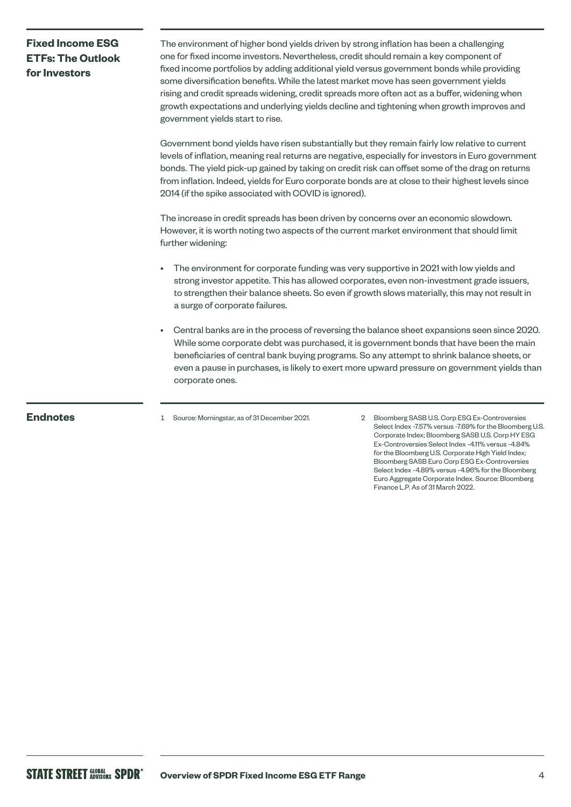# **Fixed Income ESG ETFs: The Outlook**  for **Investors**

The environment of higher bond yields driven by strong inflation has been a challenging one for fixed income investors. Nevertheless, credit should remain a key component of fixed income portfolios by adding additional yield versus government bonds while providing some diversification benefits. While the latest market move has seen government yields rising and credit spreads widening, credit spreads more often act as a buffer, widening when growth expectations and underlying yields decline and tightening when growth improves and government yields start to rise.

Government bond yields have risen substantially but they remain fairly low relative to current levels of inflation, meaning real returns are negative, especially for investors in Euro government bonds. The yield pick-up gained by taking on credit risk can offset some of the drag on returns from inflation. Indeed, yields for Euro corporate bonds are at close to their highest levels since 2014 (if the spike associated with COVID is ignored).

The increase in credit spreads has been driven by concerns over an economic slowdown. However, it is worth noting two aspects of the current market environment that should limit further widening:

- The environment for corporate funding was very supportive in 2021 with low yields and strong investor appetite. This has allowed corporates, even non-investment grade issuers, to strengthen their balance sheets. So even if growth slows materially, this may not result in a surge of corporate failures.
- Central banks are in the process of reversing the balance sheet expansions seen since 2020. While some corporate debt was purchased, it is government bonds that have been the main beneficiaries of central bank buying programs. So any attempt to shrink balance sheets, or even a pause in purchases, is likely to exert more upward pressure on government yields than corporate ones.

**Endnotes** 1 Source: Morningstar, as of 31 December 2021. 2 Bloomberg SASB U.S. Corp ESG Ex-Controversies Select Index -7.57% versus -7.69% for the Bloomberg U.S. Corporate Index; Bloomberg SASB U.S. Corp HY ESG Ex-Controversies Select Index -4.11% versus -4.84% for the Bloomberg U.S. Corporate High Yield Index: Bloomberg SASB Euro Corp ESG Ex-Controversies Select Index -4.89% versus -4.96% for the Bloomberg Euro Aggregate Corporate Index. Source: Bloomberg Finance L.P. As of 31 March 2022.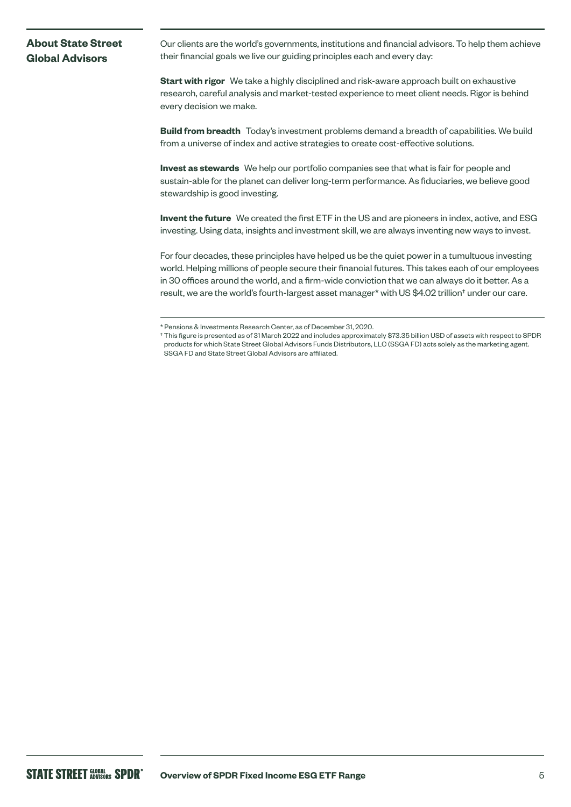# **About State Street Global Advisors**

Our clients are the world's governments, institutions and financial advisors. To help them achieve their financial goals we live our guiding principles each and every day:

**Start with rigor** We take a highly disciplined and risk-aware approach built on exhaustive research, careful analysis and market-tested experience to meet client needs. Rigor is behind every decision we make.

**Build from breadth** Today's investment problems demand a breadth of capabilities. We build from a universe of index and active strategies to create cost-effective solutions.

**Invest as stewards** We help our portfolio companies see that what is fair for people and sustain-able for the planet can deliver long-term performance. As fiduciaries, we believe good stewardship is good investing.

**Invent the future** We created the first ETF in the US and are pioneers in index, active, and ESG investing. Using data, insights and investment skill, we are always inventing new ways to invest.

For four decades, these principles have helped us be the quiet power in a tumultuous investing world. Helping millions of people secure their financial futures. This takes each of our employees in 30 offices around the world, and a firm-wide conviction that we can always do it better. As a result, we are the world's fourth-largest asset manager\* with US \$4.02 trillion† under our care.

<sup>\*</sup> Pensions & Investments Research Center, as of December 31, 2020.

<sup>†</sup> This figure is presented as of 31 March 2022 and includes approximately \$73.35 billion USD of assets with respect to SPDR products for which State Street Global Advisors Funds Distributors, LLC (SSGA FD) acts solely as the marketing agent. SSGA FD and State Street Global Advisors are affiliated.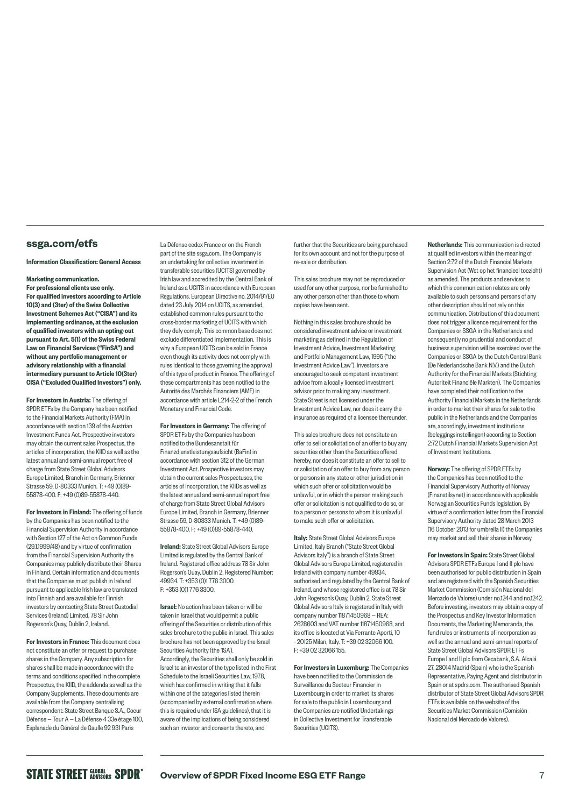## **[ssga.com/etfs](http://ssga.com/etfs)**

#### Information Classification: General Access

### Marketing communication.

For professional clients use only. For qualified investors according to Article 10(3) and (3ter) of the Swiss Collective Investment Schemes Act ("CISA") and its implementing ordinance, at the exclusion of qualified investors with an opting-out pursuant to Art. 5(1) of the Swiss Federal Law on Financial Services ("FinSA") and without any portfolio management or advisory relationship with a financial intermediary pursuant to Article 10(3ter) CISA ("Excluded Qualified Investors") only.

For Investors in Austria: The offering of SPDR ETFs by the Company has been notified to the Financial Markets Authority (FMA) in accordance with section 139 of the Austrian Investment Funds Act. Prospective investors may obtain the current sales Prospectus, the articles of incorporation, the KIID as well as the latest annual and semi-annual report free of charge from State Street Global Advisors Europe Limited, Branch in Germany, Brienner Strasse 59, D-80333 Munich. T: +49 (0)89- 55878-400. F: +49 (0)89-55878-440.

For Investors in Finland: The offering of funds by the Companies has been notified to the Financial Supervision Authority in accordance with Section 127 of the Act on Common Funds (29.1.1999/48) and by virtue of confirmation from the Financial Supervision Authority the Companies may publicly distribute their Shares in Finland. Certain information and documents that the Companies must publish in Ireland pursuant to applicable Irish law are translated into Finnish and are available for Finnish investors by contacting State Street Custodial Services (Ireland) Limited, 78 Sir John Rogerson's Quay, Dublin 2, Ireland.

For Investors in France: This document does not constitute an offer or request to purchase shares in the Company. Any subscription for shares shall be made in accordance with the terms and conditions specified in the complete Prospectus, the KIID, the addenda as well as the Company Supplements. These documents are available from the Company centralising correspondent: State Street Banque S.A., Coeur Défense — Tour A — La Défense 4 33e étage 100, Esplanade du Général de Gaulle 92 931 Paris

La Défense cedex France or on the French part of the site [ssga.com](http://ssga.com). The Company is an undertaking for collective investment in transferable securities (UCITS) governed by Irish law and accredited by the Central Bank of Ireland as a UCITS in accordance with European Regulations. European Directive no. 2014/91/EU dated 23 July 2014 on UCITS, as amended, established common rules pursuant to the cross-border marketing of UCITS with which they duly comply. This common base does not exclude differentiated implementation. This is why a European UCITS can be sold in France even though its activity does not comply with rules identical to those governing the approval of this type of product in France. The offering of these compartments has been notified to the Autorité des Marchés Financiers (AMF) in accordance with article L214-2-2 of the French Monetary and Financial Code.

For Investors in Germany: The offering of SPDR ETFs by the Companies has been notified to the Bundesanstalt für Finanzdienstleistungsaufsicht (BaFin) in accordance with section 312 of the German Investment Act. Prospective investors may obtain the current sales Prospectuses, the articles of incorporation, the KIIDs as well as the latest annual and semi-annual report free of charge from State Street Global Advisors Europe Limited, Branch in Germany, Brienner Strasse 59, D-80333 Munich. T: +49 (0)89- 55878-400. F: +49 (0)89-55878-440.

Ireland: State Street Global Advisors Europe Limited is regulated by the Central Bank of Ireland. Registered office address 78 Sir John Rogerson's Quay, Dublin 2. Registered Number: 49934. T: +353 (0)1 776 3000. F: +353 (0)1 776 3300.

Israel: No action has been taken or will be taken in Israel that would permit a public offering of the Securities or distribution of this sales brochure to the public in Israel. This sales brochure has not been approved by the Israel Securities Authority (the 'ISA'). Accordingly, the Securities shall only be sold in Israel to an investor of the type listed in the First Schedule to the Israeli Securities Law, 1978, which has confirmed in writing that it falls within one of the categories listed therein (accompanied by external confirmation where this is required under ISA guidelines), that it is aware of the implications of being considered such an investor and consents thereto, and

further that the Securities are being purchased for its own account and not for the purpose of re-sale or distribution.

This sales brochure may not be reproduced or used for any other purpose, nor be furnished to any other person other than those to whom copies have been sent.

Nothing in this sales brochure should be considered investment advice or investment marketing as defined in the Regulation of Investment Advice, Investment Marketing and Portfolio Management Law, 1995 ("the Investment Advice Law"). Investors are encouraged to seek competent investment advice from a locally licensed investment advisor prior to making any investment. State Street is not licensed under the Investment Advice Law, nor does it carry the insurance as required of a licensee thereunder.

This sales brochure does not constitute an offer to sell or solicitation of an offer to buy any securities other than the Securities offered hereby, nor does it constitute an offer to sell to or solicitation of an offer to buy from any person or persons in any state or other jurisdiction in which such offer or solicitation would be unlawful, or in which the person making such offer or solicitation is not qualified to do so, or to a person or persons to whom it is unlawful to make such offer or solicitation.

Italy: State Street Global Advisors Europe Limited, Italy Branch ("State Street Global Advisors Italy") is a branch of State Street Global Advisors Europe Limited, registered in Ireland with company number 49934, authorised and regulated by the Central Bank of Ireland, and whose registered office is at 78 Sir John Rogerson's Quay, Dublin 2. State Street Global Advisors Italy is registered in Italy with company number 11871450968 — REA: 2628603 and VAT number 11871450968, and its office is located at Via Ferrante Aporti, 10 - 20125 Milan, Italy. T: +39 02 32066 100. F: +39 02 32066 155.

For Investors in Luxemburg: The Companies have been notified to the Commission de Surveillance du Secteur Financier in Luxembourg in order to market its shares for sale to the public in Luxembourg and the Companies are notified Undertakings in Collective Investment for Transferable Securities (UCITS)

Netherlands: This communication is directed at qualified investors within the meaning of Section 2:72 of the Dutch Financial Markets Supervision Act (Wet op het financieel toezicht) as amended. The products and services to which this communication relates are only available to such persons and persons of any other description should not rely on this communication. Distribution of this document does not trigger a licence requirement for the Companies or SSGA in the Netherlands and consequently no prudential and conduct of business supervision will be exercised over the Companies or SSGA by the Dutch Central Bank (De Nederlandsche Bank N.V.) and the Dutch Authority for the Financial Markets (Stichting Autoriteit Financiële Markten). The Companies have completed their notification to the Authority Financial Markets in the Netherlands in order to market their shares for sale to the public in the Netherlands and the Companies are, accordingly, investment institutions (beleggingsinstellingen) according to Section 2:72 Dutch Financial Markets Supervision Act of Investment Institutions.

Norway: The offering of SPDR ETFs bv the Companies has been notified to the Financial Supervisory Authority of Norway (Finanstilsynet) in accordance with applicable Norwegian Securities Funds legislation. By virtue of a confirmation letter from the Financial Supervisory Authority dated 28 March 2013 (16 October 2013 for umbrella II) the Companies may market and sell their shares in Norway.

For Investors in Spain: State Street Global Advisors SPDR ETFs Europe I and II plc have been authorised for public distribution in Spain and are registered with the Spanish Securities Market Commission (Comisión Nacional del Mercado de Valores) under no.1244 and no.1242 Before investing, investors may obtain a copy of the Prospectus and Key Investor Information Documents, the Marketing Memoranda, the fund rules or instruments of incorporation as well as the annual and semi-annual reports of State Street Global Advisors SPDR ETFs Europe I and II plc from Cecabank, S.A. Alcalá 27, 28014 Madrid (Spain) who is the Spanish Representative, Paying Agent and distributor in Spain or at [spdrs.com.](http://spdrs.com) The authorised Spanish distributor of State Street Global Advisors SPDR ETFs is available on the website of the Securities Market Commission (Comisión Nacional del Mercado de Valores).